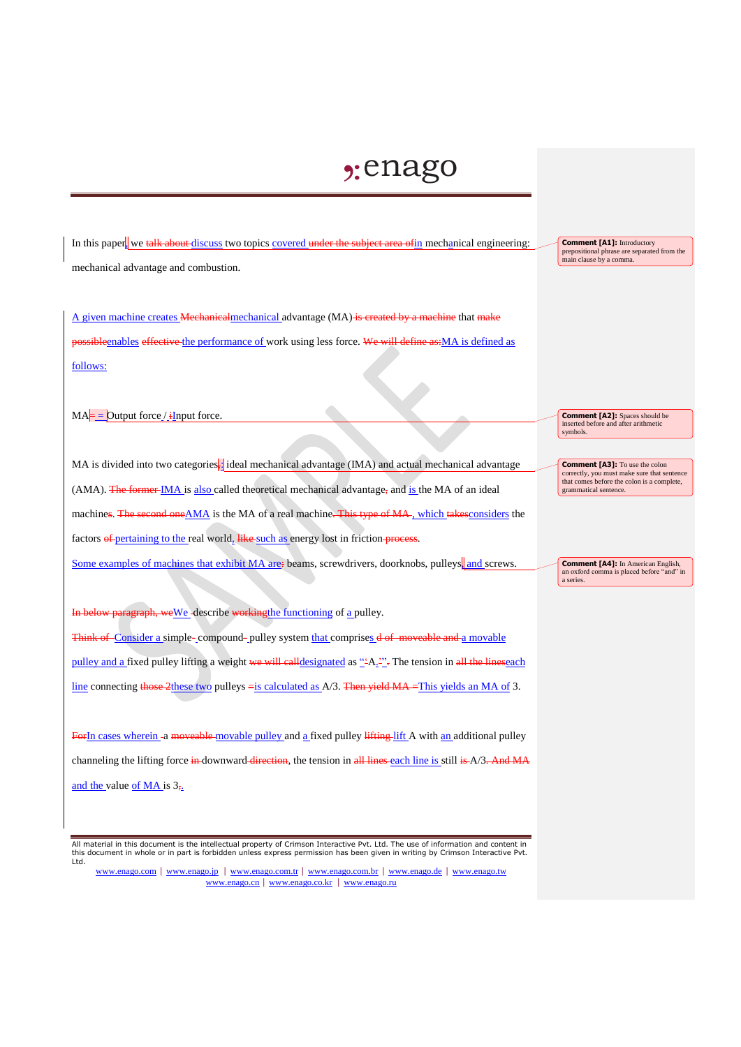## $2:$ enago

In this paper, we talk about discuss two topics covered under the subject area of in mechanical engineering: mechanical advantage and combustion.

 $\overline{A}$  given machine creates Mechanical mechanical advantage (MA) is created by a machine that make possibleenables effective the performance of work using less force. We will define as:MA is defined as follows:

 $MA =$  Output force / iInput force.

MA is divided into two categories,: ideal mechanical advantage (IMA) and actual mechanical advantage  $(AMA)$ . The former IMA is also called theoretical mechanical advantage, and is the MA of an ideal machines. The second one AMA is the MA of a real machine. This type of MA, which takes considers the factors of pertaining to the real world, like such as energy lost in friction process. Some examples of machines that exhibit MA are: beams, screwdrivers, doorknobs, pulleys, and screws.

**In the September 2** describe working the functioning of a pulley.

Think of Consider a simple- compound- pulley system that comprises  $d \cdot df$  moveable and a movable pulley and a fixed pulley lifting a weight we will calldesignated as "A<sub>1</sub><sup>21</sup>; The tension in all the linescach line connecting those 2these two pulleys = is calculated as  $A/3$ . Then yield  $MA$  = This yields an MA of 3.

ForIn cases wherein -a moveable-movable pulley and a fixed pulley lifting lift A with an additional pulley channeling the lifting force in downward direction, the tension in all lines each line is still is A/3. And MA and the value of MA is  $3<sub>7</sub>$ .

All material in this document is the intellectual property of Crimson Interactive Pvt. Ltd. The use of information and content in this document in whole or in part is forbidden unless express permission has been given in writing by Crimson Interactive Pvt. Ltd.

www.enago.com | www.enago.jp | www.enago.com.tr | www.enago.com.br | www.enago.de | www.enago.tw www.enago.cn | www.enago.co.kr | www.enago.ru

**Comment [A1]:** Introductory prepositional phrase are separated from the main clause by a comma.

**Comment [A2]:** Spaces should be inserted before and after arithmetic symbols.

**Comment [A3]:** To use the colon correctly you must make sure that sentence correctly, you must make sure that sentence that comes before the colon is a complete, grammatical sentence.

**Comment [A4]:** In American English, an oxford comma is placed before "and" in a series.